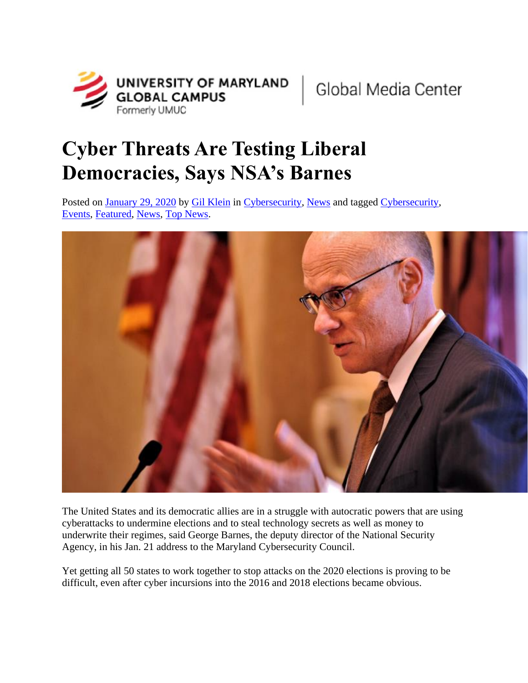

## **Cyber Threats Are Testing Liberal Democracies, Says NSA's Barnes**

Posted on [January 29, 2020](https://globalmedia.umgc.edu/2020/01/29/cyber-threats-are-testing-liberal-democracies-says-nsas-barnes/) by [Gil Klein](https://globalmedia.umgc.edu/author/gilkleinumuc/) in [Cybersecurity,](https://globalmedia.umgc.edu/category/cybersecurity/) [News](https://globalmedia.umgc.edu/category/news/) and tagged [Cybersecurity,](https://globalmedia.umgc.edu/tag/cybersecurity/) [Events,](https://globalmedia.umgc.edu/tag/events/) [Featured,](https://globalmedia.umgc.edu/tag/featured/) [News,](https://globalmedia.umgc.edu/tag/news/) [Top News.](https://globalmedia.umgc.edu/tag/top-news/)



The United States and its democratic allies are in a struggle with autocratic powers that are using cyberattacks to undermine elections and to steal technology secrets as well as money to underwrite their regimes, said George Barnes, the deputy director of the National Security Agency, in his Jan. 21 address to the Maryland Cybersecurity Council.

Yet getting all 50 states to work together to stop attacks on the 2020 elections is proving to be difficult, even after cyber incursions into the 2016 and 2018 elections became obvious.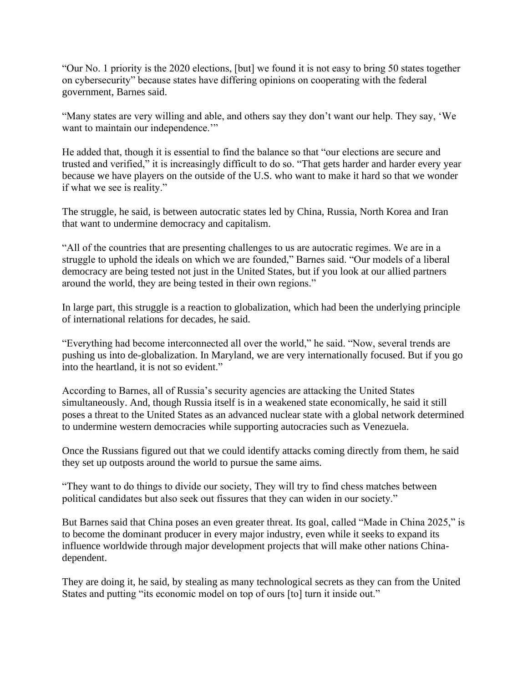"Our No. 1 priority is the 2020 elections, [but] we found it is not easy to bring 50 states together on cybersecurity" because states have differing opinions on cooperating with the federal government, Barnes said.

"Many states are very willing and able, and others say they don't want our help. They say, 'We want to maintain our independence."

He added that, though it is essential to find the balance so that "our elections are secure and trusted and verified," it is increasingly difficult to do so. "That gets harder and harder every year because we have players on the outside of the U.S. who want to make it hard so that we wonder if what we see is reality."

The struggle, he said, is between autocratic states led by China, Russia, North Korea and Iran that want to undermine democracy and capitalism.

"All of the countries that are presenting challenges to us are autocratic regimes. We are in a struggle to uphold the ideals on which we are founded," Barnes said. "Our models of a liberal democracy are being tested not just in the United States, but if you look at our allied partners around the world, they are being tested in their own regions."

In large part, this struggle is a reaction to globalization, which had been the underlying principle of international relations for decades, he said.

"Everything had become interconnected all over the world," he said. "Now, several trends are pushing us into de-globalization. In Maryland, we are very internationally focused. But if you go into the heartland, it is not so evident."

According to Barnes, all of Russia's security agencies are attacking the United States simultaneously. And, though Russia itself is in a weakened state economically, he said it still poses a threat to the United States as an advanced nuclear state with a global network determined to undermine western democracies while supporting autocracies such as Venezuela.

Once the Russians figured out that we could identify attacks coming directly from them, he said they set up outposts around the world to pursue the same aims.

"They want to do things to divide our society, They will try to find chess matches between political candidates but also seek out fissures that they can widen in our society."

But Barnes said that China poses an even greater threat. Its goal, called "Made in China 2025," is to become the dominant producer in every major industry, even while it seeks to expand its influence worldwide through major development projects that will make other nations Chinadependent.

They are doing it, he said, by stealing as many technological secrets as they can from the United States and putting "its economic model on top of ours [to] turn it inside out."